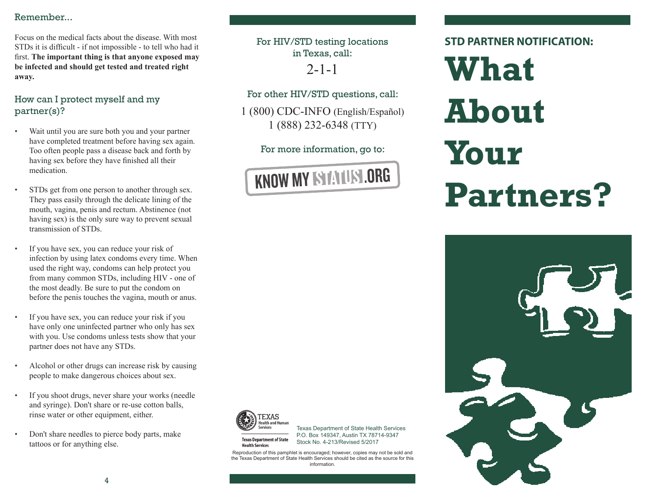## Remember...

Focus on the medical facts about the disease. With most STDs it is difficult - if not impossible - to tell who had it first. **The important thing is that anyone exposed may be infected and should get tested and treated right away.**

# How can I protect myself and my partner(s)?

- Wait until you are sure both you and your partner have completed treatment before having sex again. Too often people pass a disease back and forth by having sex before they have finished all their medication.
- STDs get from one person to another through sex. They pass easily through the delicate lining of the mouth, vagina, penis and rectum. Abstinence (not having sex) is the only sure way to prevent sexual transmission of STDs.
- If you have sex, you can reduce your risk of infection by using latex condoms every time. When used the right way, condoms can help protect you from many common STDs, including HIV - one of the most deadly. Be sure to put the condom on before the penis touches the vagina, mouth or anus.
- If you have sex, you can reduce your risk if you have only one uninfected partner who only has sex with you. Use condoms unless tests show that your partner does not have any STDs.
- Alcohol or other drugs can increase risk by causing people to make dangerous choices about sex.
- If you shoot drugs, never share your works (needle and syringe). Don't share or re-use cotton balls, rinse water or other equipment, either.
- Don't share needles to pierce body parts, make tattoos or for anything else.

For HIV/STD testing locations in Texas, call:  $2 - 1 - 1$ 

For other HIV/STD questions, call:

1 (800) CDC-INFO (English/Español) 1 (888) 232-6348 (TTY)

For more information, go to:



**STD PARTNER NOTIFICATION:**

**What About Your Partners?**





**Health Services** 

Texas Department of State Health Services P.O. Box 149347, Austin TX 78714-9347 **Texas Department of State** Stock No. 4-213/Revised 5/2017

Reproduction of this pamphlet is encouraged; however, copies may not be sold and the Texas Department of State Health Services should be cited as the source for this information.